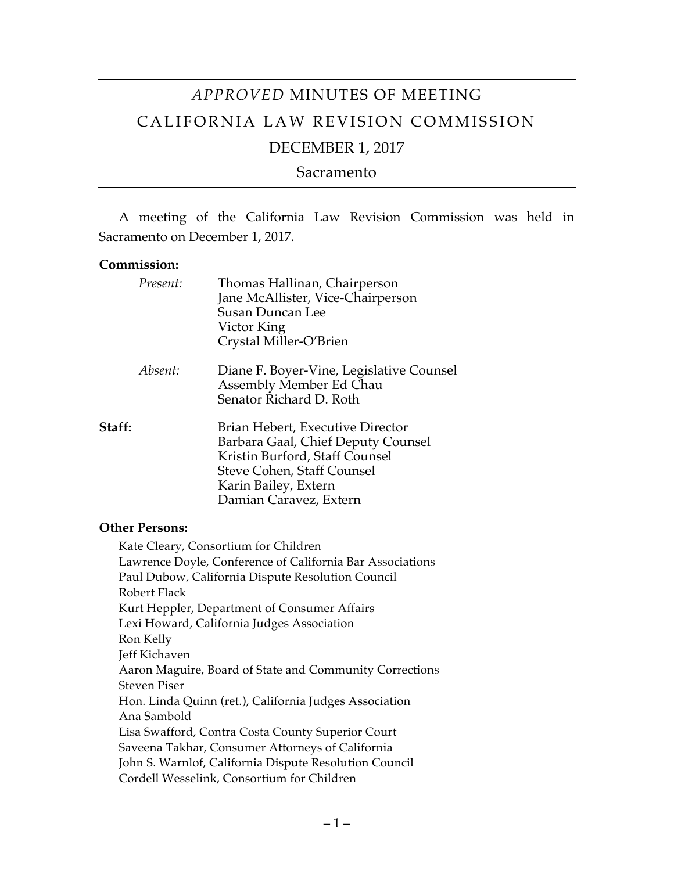# *APPROVED* MINUTES OF MEETING CALIFORNIA LAW REVISION COMMISSION

# DECEMBER 1, 2017

Sacramento

A meeting of the California Law Revision Commission was held in Sacramento on December 1, 2017.

#### **Commission:**

|        | Present: | Thomas Hallinan, Chairperson<br>Jane McAllister, Vice-Chairperson<br><b>Susan Duncan Lee</b><br>Victor King<br>Crystal Miller-O'Brien                                                    |
|--------|----------|------------------------------------------------------------------------------------------------------------------------------------------------------------------------------------------|
|        | Absent:  | Diane F. Boyer-Vine, Legislative Counsel<br>Assembly Member Ed Chau<br>Senator Richard D. Roth                                                                                           |
| Staff: |          | Brian Hebert, Executive Director<br>Barbara Gaal, Chief Deputy Counsel<br>Kristin Burford, Staff Counsel<br>Steve Cohen, Staff Counsel<br>Karin Bailey, Extern<br>Damian Caravez, Extern |

#### **Other Persons:**

Kate Cleary, Consortium for Children Lawrence Doyle, Conference of California Bar Associations Paul Dubow, California Dispute Resolution Council Robert Flack Kurt Heppler, Department of Consumer Affairs Lexi Howard, California Judges Association Ron Kelly Jeff Kichaven Aaron Maguire, Board of State and Community Corrections Steven Piser Hon. Linda Quinn (ret.), California Judges Association Ana Sambold Lisa Swafford, Contra Costa County Superior Court Saveena Takhar, Consumer Attorneys of California John S. Warnlof, California Dispute Resolution Council Cordell Wesselink, Consortium for Children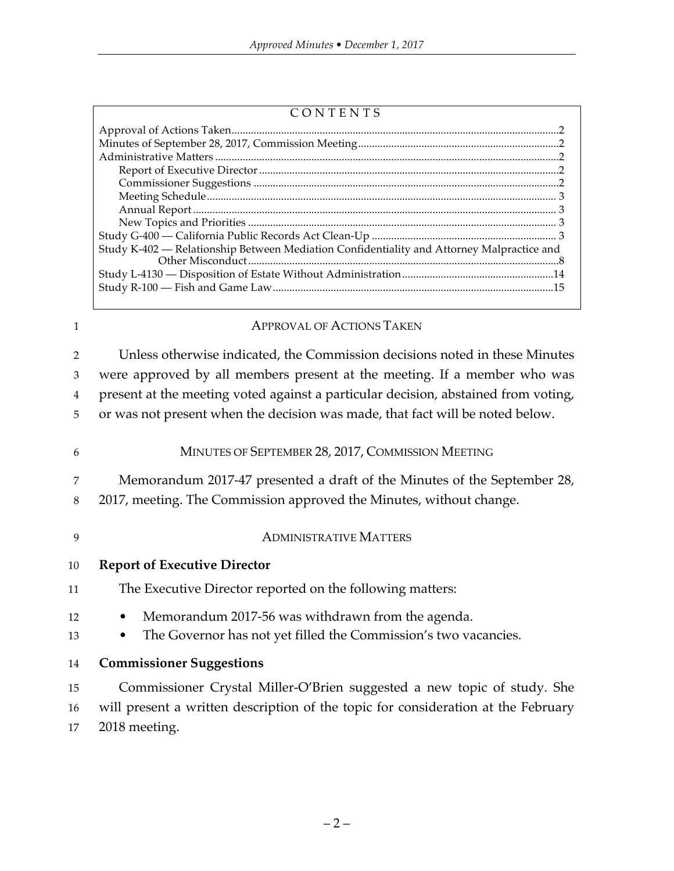| ᠇<br>E<br>-т. |
|---------------|
|---------------|

| Study K-402 - Relationship Between Mediation Confidentiality and Attorney Malpractice and |  |  |
|-------------------------------------------------------------------------------------------|--|--|
|                                                                                           |  |  |
|                                                                                           |  |  |
|                                                                                           |  |  |
|                                                                                           |  |  |

#### 1 APPROVAL OF ACTIONS TAKEN

 Unless otherwise indicated, the Commission decisions noted in these Minutes were approved by all members present at the meeting. If a member who was present at the meeting voted against a particular decision, abstained from voting, or was not present when the decision was made, that fact will be noted below.

6 MINUTES OF SEPTEMBER 28, 2017, COMMISSION MEETING

7 Memorandum 2017-47 presented a draft of the Minutes of the September 28, 8 2017, meeting. The Commission approved the Minutes, without change.

9 ADMINISTRATIVE MATTERS

#### 10 **Report of Executive Director**

- 11 The Executive Director reported on the following matters:
- 12 Memorandum 2017-56 was withdrawn from the agenda.
- 13 The Governor has not yet filled the Commission's two vacancies.
- 14 **Commissioner Suggestions**

15 Commissioner Crystal Miller-O'Brien suggested a new topic of study. She 16 will present a written description of the topic for consideration at the February 17 2018 meeting.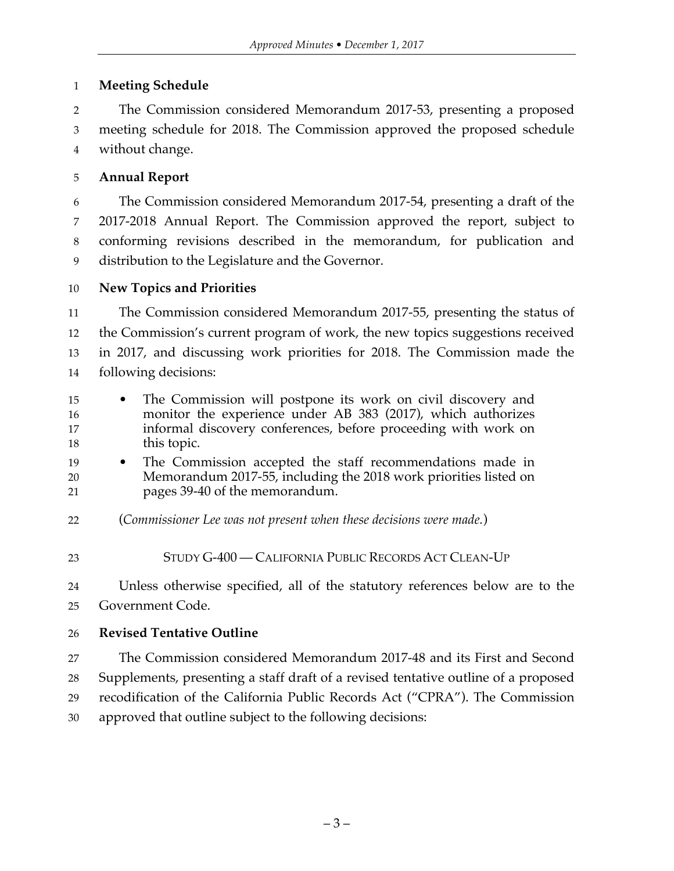## **Meeting Schedule**

 The Commission considered Memorandum 2017-53, presenting a proposed meeting schedule for 2018. The Commission approved the proposed schedule without change.

# **Annual Report**

 The Commission considered Memorandum 2017-54, presenting a draft of the 2017-2018 Annual Report. The Commission approved the report, subject to conforming revisions described in the memorandum, for publication and distribution to the Legislature and the Governor.

# **New Topics and Priorities**

 The Commission considered Memorandum 2017-55, presenting the status of the Commission's current program of work, the new topics suggestions received in 2017, and discussing work priorities for 2018. The Commission made the following decisions:

- The Commission will postpone its work on civil discovery and monitor the experience under AB 383 (2017), which authorizes informal discovery conferences, before proceeding with work on 18 this topic.
- The Commission accepted the staff recommendations made in Memorandum 2017-55, including the 2018 work priorities listed on pages 39-40 of the memorandum.
- (*Commissioner Lee was not present when these decisions were made.*)
- STUDY G-400 CALIFORNIA PUBLIC RECORDS ACT CLEAN-UP

 Unless otherwise specified, all of the statutory references below are to the Government Code.

# **Revised Tentative Outline**

 The Commission considered Memorandum 2017-48 and its First and Second Supplements, presenting a staff draft of a revised tentative outline of a proposed recodification of the California Public Records Act ("CPRA"). The Commission approved that outline subject to the following decisions: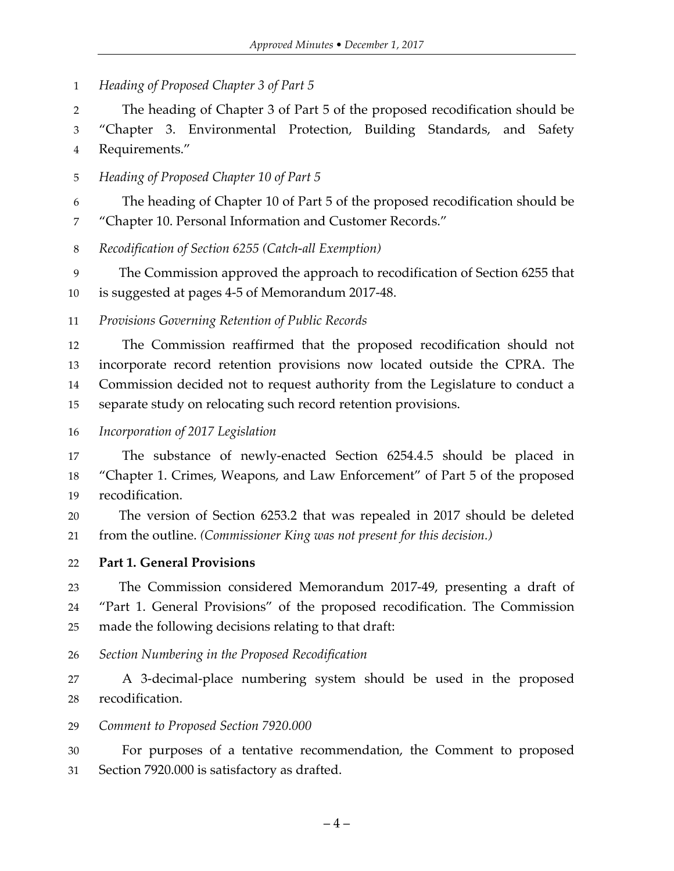*Heading of Proposed Chapter 3 of Part 5*

 The heading of Chapter 3 of Part 5 of the proposed recodification should be "Chapter 3. Environmental Protection, Building Standards, and Safety Requirements."

*Heading of Proposed Chapter 10 of Part 5* 

 The heading of Chapter 10 of Part 5 of the proposed recodification should be "Chapter 10. Personal Information and Customer Records."

*Recodification of Section 6255 (Catch-all Exemption)*

 The Commission approved the approach to recodification of Section 6255 that is suggested at pages 4-5 of Memorandum 2017-48.

*Provisions Governing Retention of Public Records*

 The Commission reaffirmed that the proposed recodification should not incorporate record retention provisions now located outside the CPRA. The Commission decided not to request authority from the Legislature to conduct a separate study on relocating such record retention provisions.

*Incorporation of 2017 Legislation*

 The substance of newly-enacted Section 6254.4.5 should be placed in "Chapter 1. Crimes, Weapons, and Law Enforcement" of Part 5 of the proposed recodification.

 The version of Section 6253.2 that was repealed in 2017 should be deleted from the outline. *(Commissioner King was not present for this decision.)*

**Part 1. General Provisions**

 The Commission considered Memorandum 2017-49, presenting a draft of "Part 1. General Provisions" of the proposed recodification. The Commission made the following decisions relating to that draft:

*Section Numbering in the Proposed Recodification*

 A 3-decimal-place numbering system should be used in the proposed recodification.

#### *Comment to Proposed Section 7920.000*

 For purposes of a tentative recommendation, the Comment to proposed Section 7920.000 is satisfactory as drafted.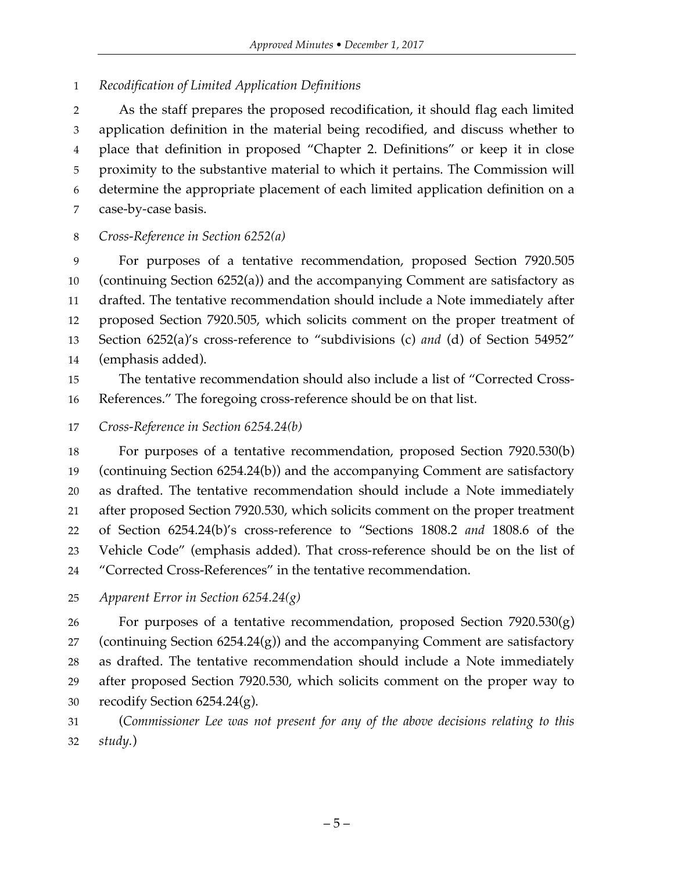## *Recodification of Limited Application Definitions*

 As the staff prepares the proposed recodification, it should flag each limited application definition in the material being recodified, and discuss whether to place that definition in proposed "Chapter 2. Definitions" or keep it in close proximity to the substantive material to which it pertains. The Commission will determine the appropriate placement of each limited application definition on a case-by-case basis.

## *Cross-Reference in Section 6252(a)*

 For purposes of a tentative recommendation, proposed Section 7920.505 (continuing Section 6252(a)) and the accompanying Comment are satisfactory as drafted. The tentative recommendation should include a Note immediately after proposed Section 7920.505, which solicits comment on the proper treatment of Section 6252(a)'s cross-reference to "subdivisions (c) *and* (d) of Section 54952" (emphasis added).

 The tentative recommendation should also include a list of "Corrected Cross-References." The foregoing cross-reference should be on that list.

*Cross-Reference in Section 6254.24(b)*

 For purposes of a tentative recommendation, proposed Section 7920.530(b) (continuing Section 6254.24(b)) and the accompanying Comment are satisfactory as drafted. The tentative recommendation should include a Note immediately after proposed Section 7920.530, which solicits comment on the proper treatment of Section 6254.24(b)'s cross-reference to "Sections 1808.2 *and* 1808.6 of the Vehicle Code" (emphasis added). That cross-reference should be on the list of "Corrected Cross-References" in the tentative recommendation.

*Apparent Error in Section 6254.24(g)* 

26 For purposes of a tentative recommendation, proposed Section  $7920.530(g)$ 27 (continuing Section  $6254.24(g)$ ) and the accompanying Comment are satisfactory as drafted. The tentative recommendation should include a Note immediately after proposed Section 7920.530, which solicits comment on the proper way to recodify Section 6254.24(g).

 (*Commissioner Lee was not present for any of the above decisions relating to this study.*)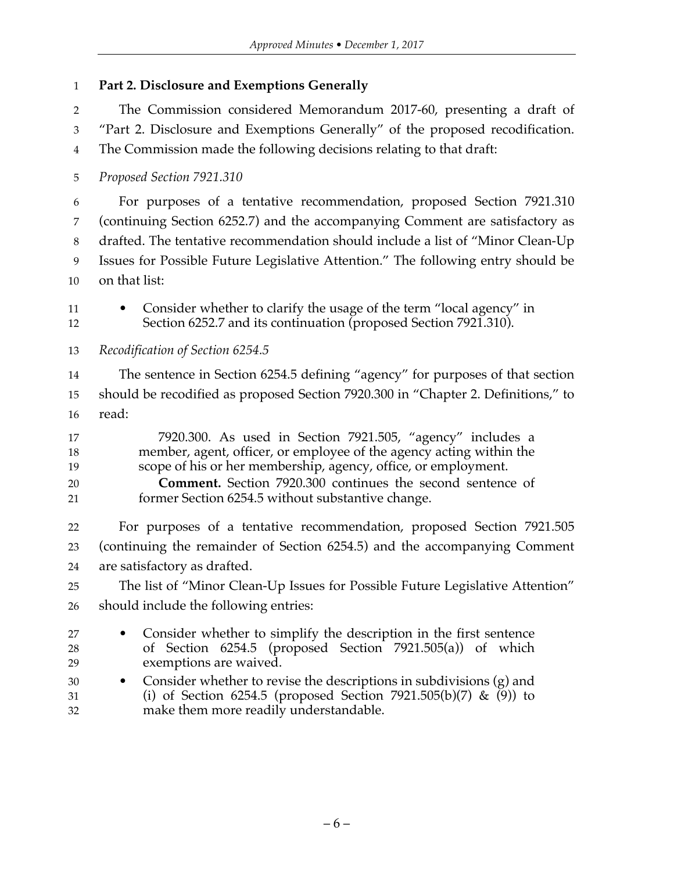**Part 2. Disclosure and Exemptions Generally**

 The Commission considered Memorandum 2017-60, presenting a draft of "Part 2. Disclosure and Exemptions Generally" of the proposed recodification. The Commission made the following decisions relating to that draft: *Proposed Section 7921.310* For purposes of a tentative recommendation, proposed Section 7921.310 (continuing Section 6252.7) and the accompanying Comment are satisfactory as drafted. The tentative recommendation should include a list of "Minor Clean-Up Issues for Possible Future Legislative Attention." The following entry should be on that list: 11 • Consider whether to clarify the usage of the term "local agency" in Section 6252.7 and its continuation (proposed Section 7921.310). *Recodification of Section 6254.5* The sentence in Section 6254.5 defining "agency" for purposes of that section should be recodified as proposed Section 7920.300 in "Chapter 2. Definitions," to read: 7920.300. As used in Section 7921.505, "agency" includes a member, agent, officer, or employee of the agency acting within the scope of his or her membership, agency, office, or employment. **Comment.** Section 7920.300 continues the second sentence of former Section 6254.5 without substantive change. For purposes of a tentative recommendation, proposed Section 7921.505 (continuing the remainder of Section 6254.5) and the accompanying Comment are satisfactory as drafted. The list of "Minor Clean-Up Issues for Possible Future Legislative Attention" should include the following entries: • Consider whether to simplify the description in the first sentence of Section 6254.5 (proposed Section 7921.505(a)) of which exemptions are waived. • Consider whether to revise the descriptions in subdivisions (g) and (i) of Section 6254.5 (proposed Section 7921.505(b)(7) & (9)) to make them more readily understandable.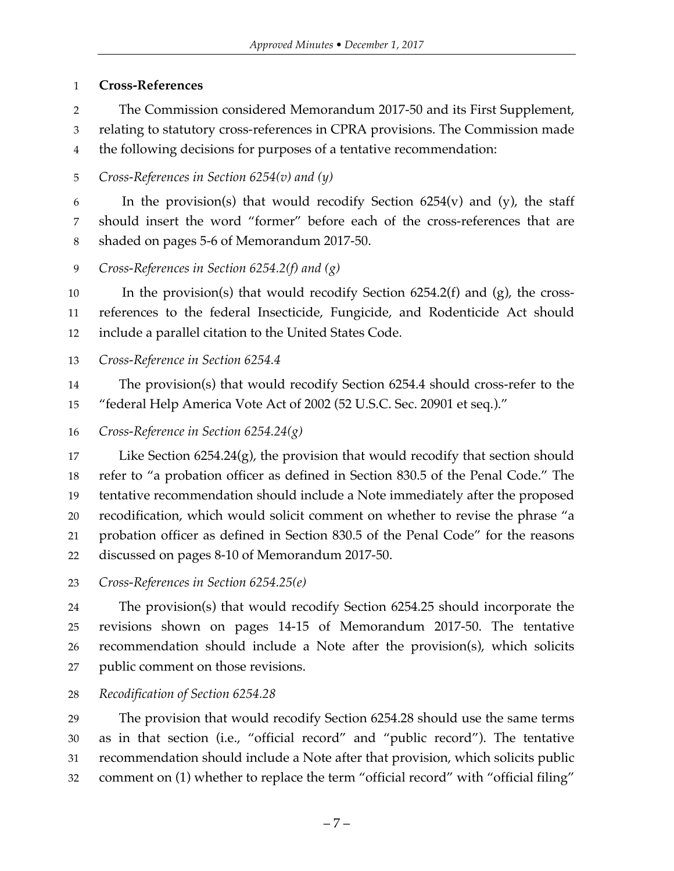## **Cross-References**

The Commission considered Memorandum 2017-50 and its First Supplement,

relating to statutory cross-references in CPRA provisions. The Commission made

the following decisions for purposes of a tentative recommendation:

*Cross-References in Section 6254(v) and (y)* 

6 In the provision(s) that would recodify Section  $6254(v)$  and (y), the staff should insert the word "former" before each of the cross-references that are shaded on pages 5-6 of Memorandum 2017-50.

*Cross-References in Section 6254.2(f) and (g)* 

 In the provision(s) that would recodify Section 6254.2(f) and (g), the cross- references to the federal Insecticide, Fungicide, and Rodenticide Act should include a parallel citation to the United States Code.

*Cross-Reference in Section 6254.4* 

 The provision(s) that would recodify Section 6254.4 should cross-refer to the "federal Help America Vote Act of 2002 (52 U.S.C. Sec. 20901 et seq.)."

*Cross-Reference in Section 6254.24(g)*

 Like Section 6254.24(g), the provision that would recodify that section should refer to "a probation officer as defined in Section 830.5 of the Penal Code." The tentative recommendation should include a Note immediately after the proposed recodification, which would solicit comment on whether to revise the phrase "a probation officer as defined in Section 830.5 of the Penal Code" for the reasons discussed on pages 8-10 of Memorandum 2017-50.

*Cross-References in Section 6254.25(e)*

 The provision(s) that would recodify Section 6254.25 should incorporate the revisions shown on pages 14-15 of Memorandum 2017-50. The tentative recommendation should include a Note after the provision(s), which solicits public comment on those revisions.

*Recodification of Section 6254.28* 

 The provision that would recodify Section 6254.28 should use the same terms as in that section (i.e., "official record" and "public record"). The tentative recommendation should include a Note after that provision, which solicits public comment on (1) whether to replace the term "official record" with "official filing"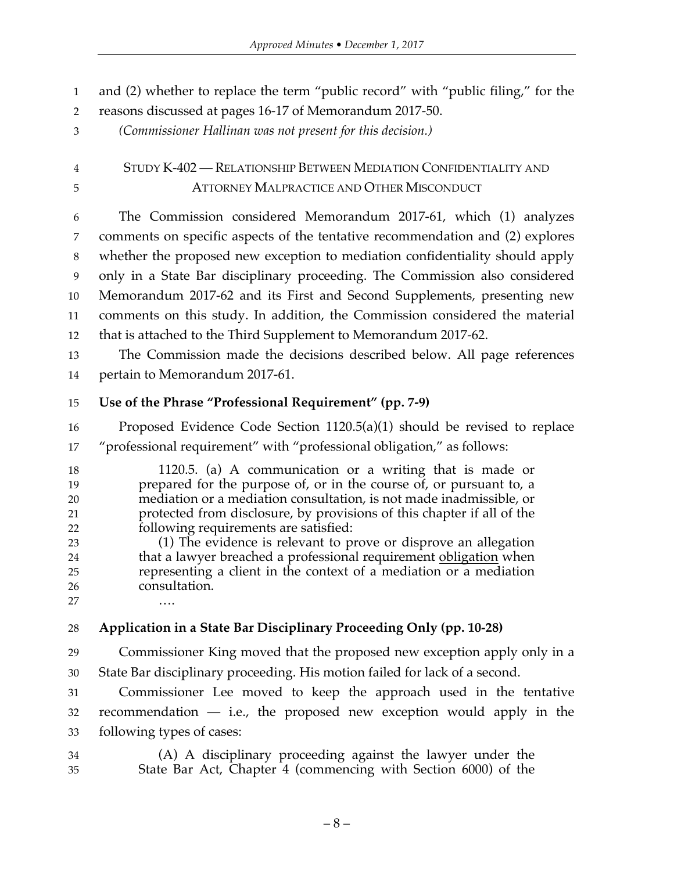and (2) whether to replace the term "public record" with "public filing," for the

reasons discussed at pages 16-17 of Memorandum 2017-50.

*(Commissioner Hallinan was not present for this decision.)*

 STUDY K-402 — RELATIONSHIP BETWEEN MEDIATION CONFIDENTIALITY AND ATTORNEY MALPRACTICE AND OTHER MISCONDUCT

 The Commission considered Memorandum 2017-61, which (1) analyzes comments on specific aspects of the tentative recommendation and (2) explores whether the proposed new exception to mediation confidentiality should apply only in a State Bar disciplinary proceeding. The Commission also considered Memorandum 2017-62 and its First and Second Supplements, presenting new comments on this study. In addition, the Commission considered the material that is attached to the Third Supplement to Memorandum 2017-62.

 The Commission made the decisions described below. All page references pertain to Memorandum 2017-61.

# **Use of the Phrase "Professional Requirement" (pp. 7-9)**

 Proposed Evidence Code Section 1120.5(a)(1) should be revised to replace "professional requirement" with "professional obligation," as follows:

 1120.5. (a) A communication or a writing that is made or prepared for the purpose of, or in the course of, or pursuant to, a mediation or a mediation consultation, is not made inadmissible, or protected from disclosure, by provisions of this chapter if all of the following requirements are satisfied: (1) The evidence is relevant to prove or disprove an allegation

 that a lawyer breached a professional requirement obligation when representing a client in the context of a mediation or a mediation consultation. ….

# **Application in a State Bar Disciplinary Proceeding Only (pp. 10-28)**

 Commissioner King moved that the proposed new exception apply only in a State Bar disciplinary proceeding. His motion failed for lack of a second.

 Commissioner Lee moved to keep the approach used in the tentative recommendation — i.e., the proposed new exception would apply in the following types of cases:

 (A) A disciplinary proceeding against the lawyer under the State Bar Act, Chapter 4 (commencing with Section 6000) of the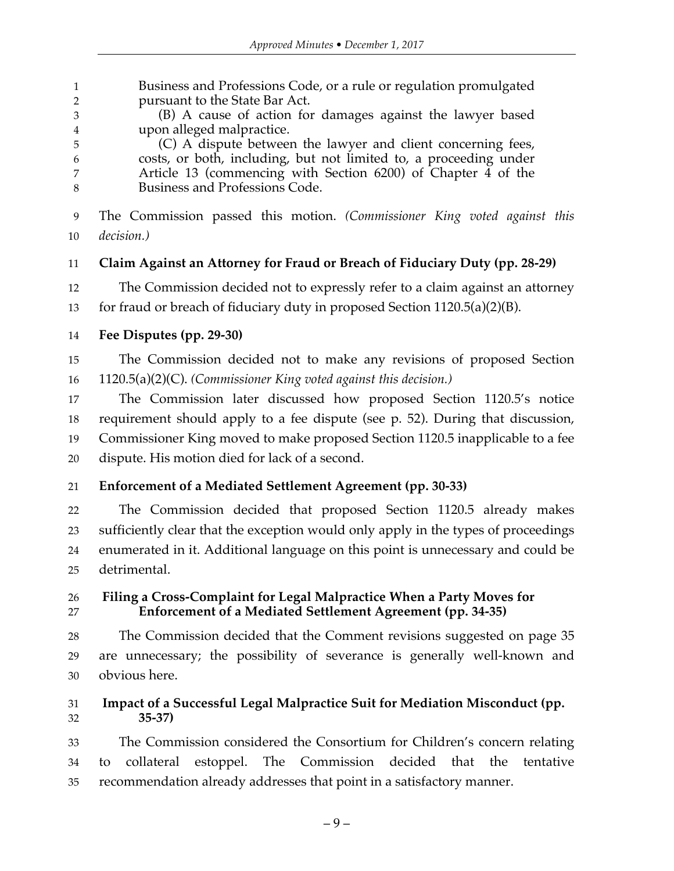Business and Professions Code, or a rule or regulation promulgated pursuant to the State Bar Act.

 (B) A cause of action for damages against the lawyer based upon alleged malpractice.

 (C) A dispute between the lawyer and client concerning fees, costs, or both, including, but not limited to, a proceeding under Article 13 (commencing with Section 6200) of Chapter 4 of the Business and Professions Code.

 The Commission passed this motion. *(Commissioner King voted against this decision.)*

# **Claim Against an Attorney for Fraud or Breach of Fiduciary Duty (pp. 28-29)**

The Commission decided not to expressly refer to a claim against an attorney

for fraud or breach of fiduciary duty in proposed Section 1120.5(a)(2)(B).

## **Fee Disputes (pp. 29-30)**

 The Commission decided not to make any revisions of proposed Section 1120.5(a)(2)(C). *(Commissioner King voted against this decision.)*

 The Commission later discussed how proposed Section 1120.5's notice requirement should apply to a fee dispute (see p. 52). During that discussion, Commissioner King moved to make proposed Section 1120.5 inapplicable to a fee dispute. His motion died for lack of a second.

# **Enforcement of a Mediated Settlement Agreement (pp. 30-33)**

 The Commission decided that proposed Section 1120.5 already makes sufficiently clear that the exception would only apply in the types of proceedings enumerated in it. Additional language on this point is unnecessary and could be detrimental.

 **Filing a Cross-Complaint for Legal Malpractice When a Party Moves for Enforcement of a Mediated Settlement Agreement (pp. 34-35)**

 The Commission decided that the Comment revisions suggested on page 35 are unnecessary; the possibility of severance is generally well-known and obvious here.

## **Impact of a Successful Legal Malpractice Suit for Mediation Misconduct (pp. 35-37)**

 The Commission considered the Consortium for Children's concern relating to collateral estoppel. The Commission decided that the tentative recommendation already addresses that point in a satisfactory manner.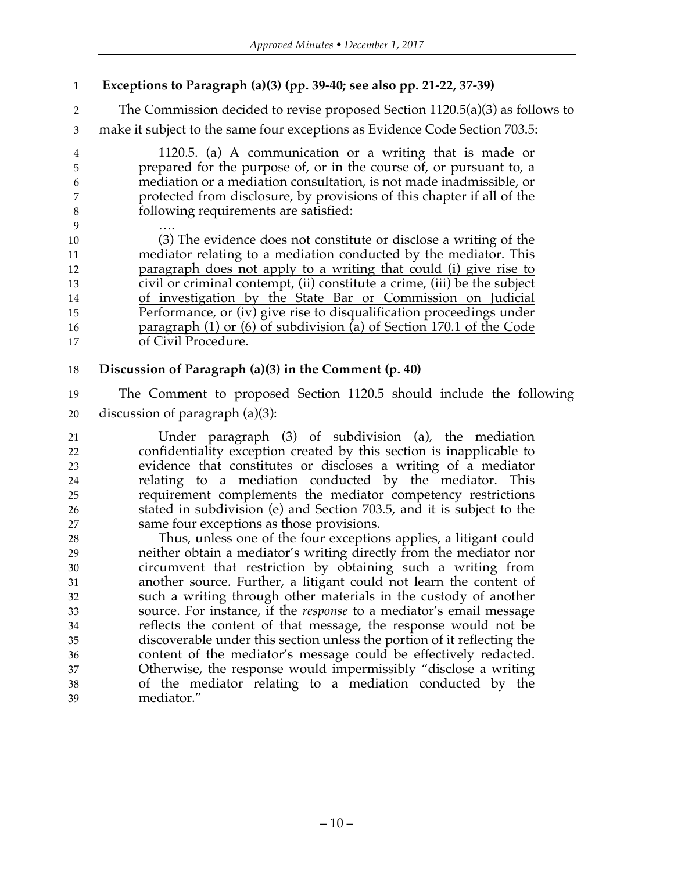- **Exceptions to Paragraph (a)(3) (pp. 39-40; see also pp. 21-22, 37-39)**
- The Commission decided to revise proposed Section 1120.5(a)(3) as follows to

make it subject to the same four exceptions as Evidence Code Section 703.5:

 1120.5. (a) A communication or a writing that is made or prepared for the purpose of, or in the course of, or pursuant to, a mediation or a mediation consultation, is not made inadmissible, or protected from disclosure, by provisions of this chapter if all of the following requirements are satisfied:

 …. (3) The evidence does not constitute or disclose a writing of the mediator relating to a mediation conducted by the mediator. This paragraph does not apply to a writing that could (i) give rise to civil or criminal contempt, (ii) constitute a crime, (iii) be the subject of investigation by the State Bar or Commission on Judicial Performance, or (iv) give rise to disqualification proceedings under paragraph (1) or (6) of subdivision (a) of Section 170.1 of the Code of Civil Procedure.

## **Discussion of Paragraph (a)(3) in the Comment (p. 40)**

 The Comment to proposed Section 1120.5 should include the following discussion of paragraph (a)(3):

 Under paragraph (3) of subdivision (a), the mediation confidentiality exception created by this section is inapplicable to evidence that constitutes or discloses a writing of a mediator relating to a mediation conducted by the mediator. This requirement complements the mediator competency restrictions stated in subdivision (e) and Section 703.5, and it is subject to the same four exceptions as those provisions.

 Thus, unless one of the four exceptions applies, a litigant could neither obtain a mediator's writing directly from the mediator nor circumvent that restriction by obtaining such a writing from another source. Further, a litigant could not learn the content of such a writing through other materials in the custody of another source. For instance, if the *response* to a mediator's email message reflects the content of that message, the response would not be discoverable under this section unless the portion of it reflecting the content of the mediator's message could be effectively redacted. Otherwise, the response would impermissibly "disclose a writing of the mediator relating to a mediation conducted by the mediator."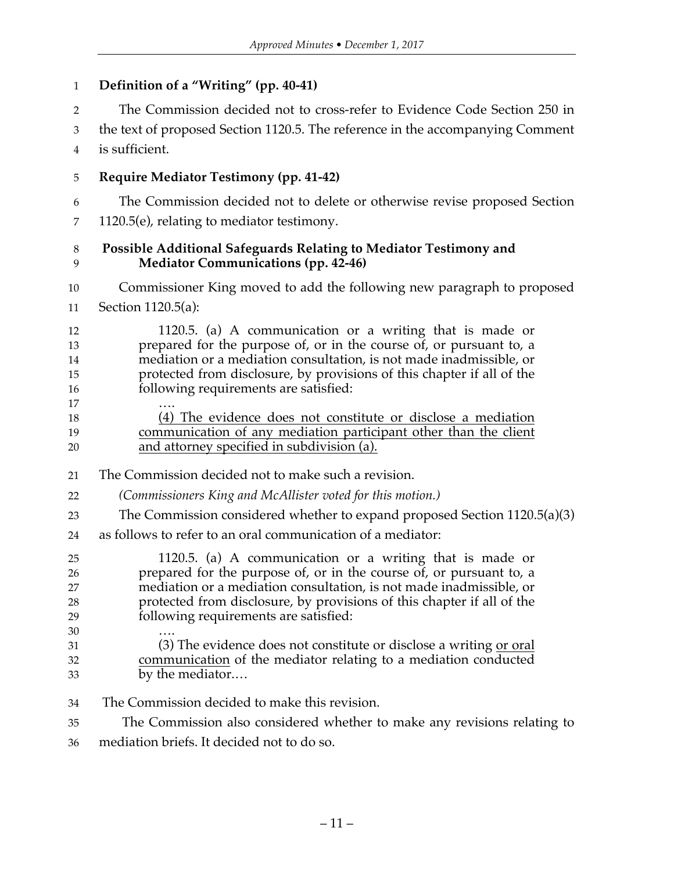## **Definition of a "Writing" (pp. 40-41)**

The Commission decided not to cross-refer to Evidence Code Section 250 in

 the text of proposed Section 1120.5. The reference in the accompanying Comment is sufficient.

**Require Mediator Testimony (pp. 41-42)**

The Commission decided not to delete or otherwise revise proposed Section

1120.5(e), relating to mediator testimony.

#### **Possible Additional Safeguards Relating to Mediator Testimony and Mediator Communications (pp. 42-46)**

 Commissioner King moved to add the following new paragraph to proposed Section 1120.5(a):

 1120.5. (a) A communication or a writing that is made or prepared for the purpose of, or in the course of, or pursuant to, a mediation or a mediation consultation, is not made inadmissible, or protected from disclosure, by provisions of this chapter if all of the following requirements are satisfied:

 …. (4) The evidence does not constitute or disclose a mediation communication of any mediation participant other than the client and attorney specified in subdivision (a).

The Commission decided not to make such a revision.

*(Commissioners King and McAllister voted for this motion.)*

- The Commission considered whether to expand proposed Section 1120.5(a)(3)
- as follows to refer to an oral communication of a mediator:

 1120.5. (a) A communication or a writing that is made or prepared for the purpose of, or in the course of, or pursuant to, a mediation or a mediation consultation, is not made inadmissible, or protected from disclosure, by provisions of this chapter if all of the following requirements are satisfied: …. 31 (3) The evidence does not constitute or disclose a writing <u>or oral</u>

- communication of the mediator relating to a mediation conducted by the mediator.…
- The Commission decided to make this revision.

The Commission also considered whether to make any revisions relating to

mediation briefs. It decided not to do so.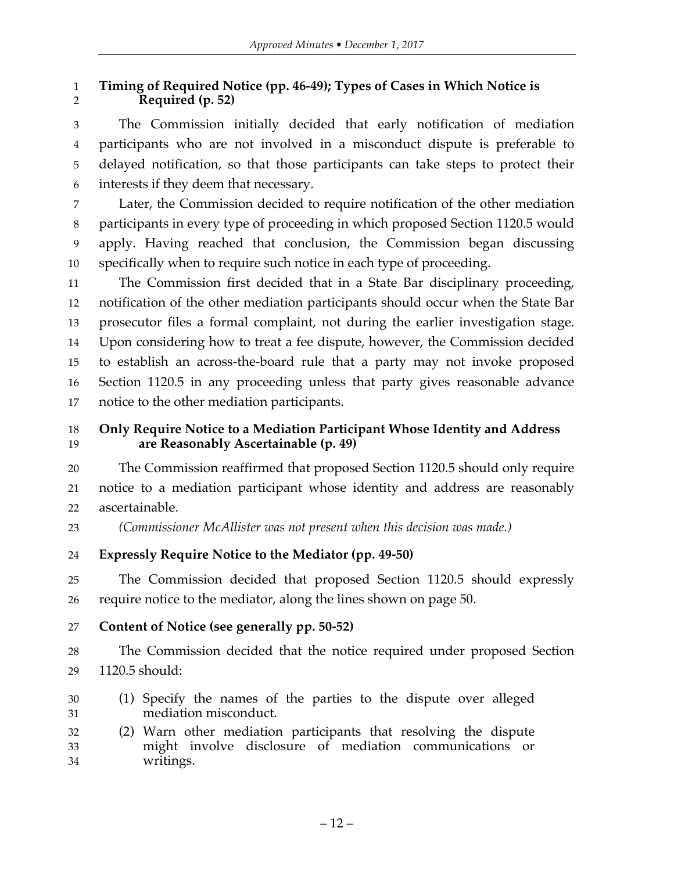## **Timing of Required Notice (pp. 46-49); Types of Cases in Which Notice is Required (p. 52)**

 The Commission initially decided that early notification of mediation participants who are not involved in a misconduct dispute is preferable to delayed notification, so that those participants can take steps to protect their interests if they deem that necessary.

 Later, the Commission decided to require notification of the other mediation participants in every type of proceeding in which proposed Section 1120.5 would apply. Having reached that conclusion, the Commission began discussing specifically when to require such notice in each type of proceeding.

 The Commission first decided that in a State Bar disciplinary proceeding, notification of the other mediation participants should occur when the State Bar prosecutor files a formal complaint, not during the earlier investigation stage. Upon considering how to treat a fee dispute, however, the Commission decided to establish an across-the-board rule that a party may not invoke proposed Section 1120.5 in any proceeding unless that party gives reasonable advance notice to the other mediation participants.

## **Only Require Notice to a Mediation Participant Whose Identity and Address are Reasonably Ascertainable (p. 49)**

 The Commission reaffirmed that proposed Section 1120.5 should only require notice to a mediation participant whose identity and address are reasonably ascertainable.

*(Commissioner McAllister was not present when this decision was made.)*

## **Expressly Require Notice to the Mediator (pp. 49-50)**

 The Commission decided that proposed Section 1120.5 should expressly require notice to the mediator, along the lines shown on page 50.

**Content of Notice (see generally pp. 50-52)**

 The Commission decided that the notice required under proposed Section 1120.5 should:

- (1) Specify the names of the parties to the dispute over alleged mediation misconduct.
- (2) Warn other mediation participants that resolving the dispute might involve disclosure of mediation communications or writings.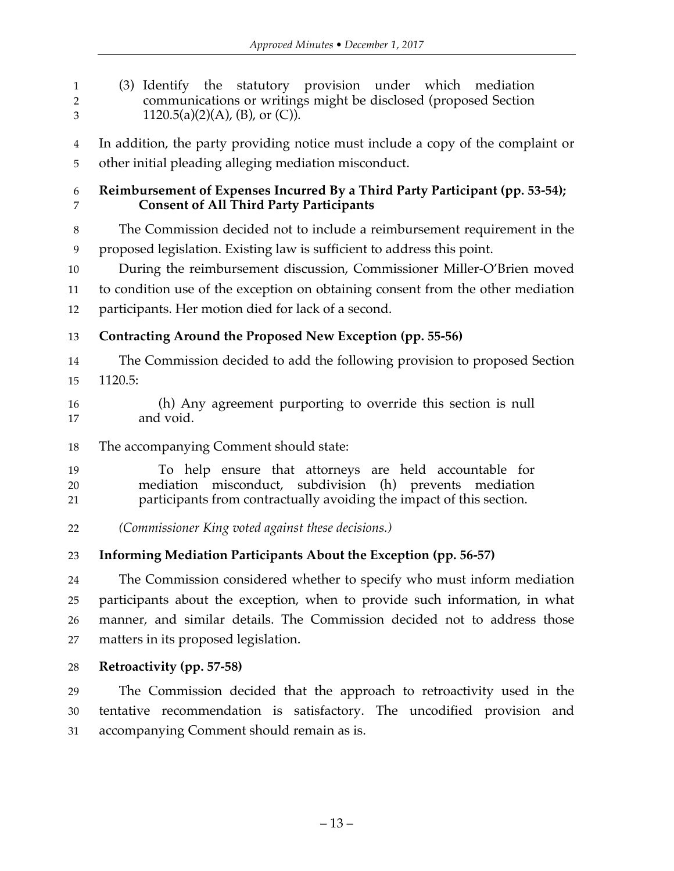(3) Identify the statutory provision under which mediation communications or writings might be disclosed (proposed Section 3 1120.5(a)(2)(A), (B), or (C)). In addition, the party providing notice must include a copy of the complaint or other initial pleading alleging mediation misconduct. **Reimbursement of Expenses Incurred By a Third Party Participant (pp. 53-54); Consent of All Third Party Participants** The Commission decided not to include a reimbursement requirement in the proposed legislation. Existing law is sufficient to address this point. During the reimbursement discussion, Commissioner Miller-O'Brien moved to condition use of the exception on obtaining consent from the other mediation participants. Her motion died for lack of a second. **Contracting Around the Proposed New Exception (pp. 55-56)** The Commission decided to add the following provision to proposed Section 1120.5: (h) Any agreement purporting to override this section is null and void. The accompanying Comment should state: To help ensure that attorneys are held accountable for mediation misconduct, subdivision (h) prevents mediation participants from contractually avoiding the impact of this section. *(Commissioner King voted against these decisions.)* **Informing Mediation Participants About the Exception (pp. 56-57)** The Commission considered whether to specify who must inform mediation participants about the exception, when to provide such information, in what manner, and similar details. The Commission decided not to address those matters in its proposed legislation.

**Retroactivity (pp. 57-58)**

 The Commission decided that the approach to retroactivity used in the tentative recommendation is satisfactory. The uncodified provision and accompanying Comment should remain as is.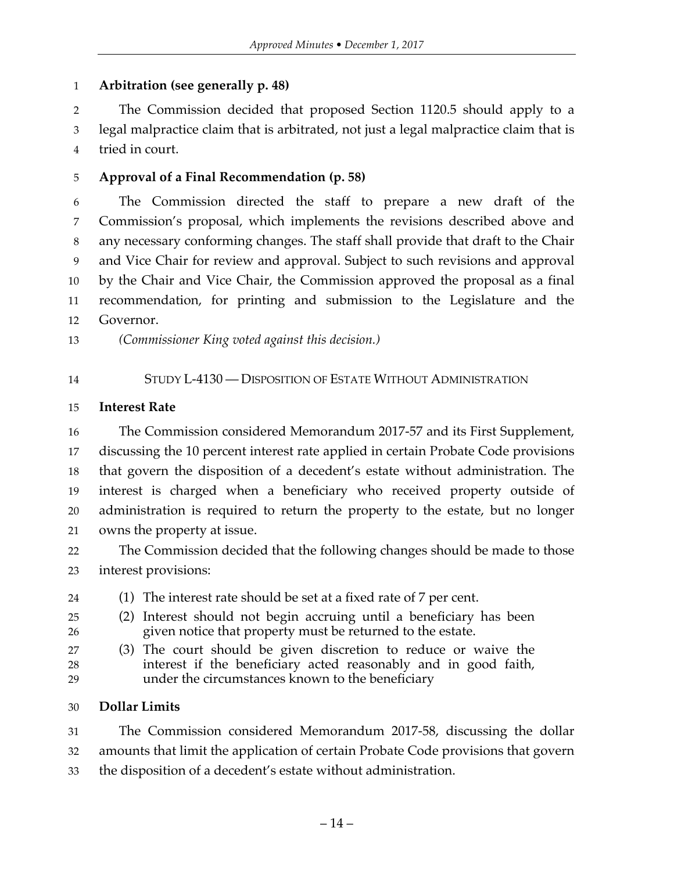## **Arbitration (see generally p. 48)**

 The Commission decided that proposed Section 1120.5 should apply to a legal malpractice claim that is arbitrated, not just a legal malpractice claim that is tried in court.

#### **Approval of a Final Recommendation (p. 58)**

 The Commission directed the staff to prepare a new draft of the Commission's proposal, which implements the revisions described above and any necessary conforming changes. The staff shall provide that draft to the Chair and Vice Chair for review and approval. Subject to such revisions and approval by the Chair and Vice Chair, the Commission approved the proposal as a final recommendation, for printing and submission to the Legislature and the Governor.

*(Commissioner King voted against this decision.)*

STUDY L-4130 — DISPOSITION OF ESTATE WITHOUT ADMINISTRATION

#### **Interest Rate**

 The Commission considered Memorandum 2017-57 and its First Supplement, discussing the 10 percent interest rate applied in certain Probate Code provisions that govern the disposition of a decedent's estate without administration. The interest is charged when a beneficiary who received property outside of administration is required to return the property to the estate, but no longer owns the property at issue.

 The Commission decided that the following changes should be made to those interest provisions:

- (1) The interest rate should be set at a fixed rate of 7 per cent.
- (2) Interest should not begin accruing until a beneficiary has been given notice that property must be returned to the estate.
- (3) The court should be given discretion to reduce or waive the
- interest if the beneficiary acted reasonably and in good faith, under the circumstances known to the beneficiary

#### **Dollar Limits**

 The Commission considered Memorandum 2017-58, discussing the dollar amounts that limit the application of certain Probate Code provisions that govern the disposition of a decedent's estate without administration.